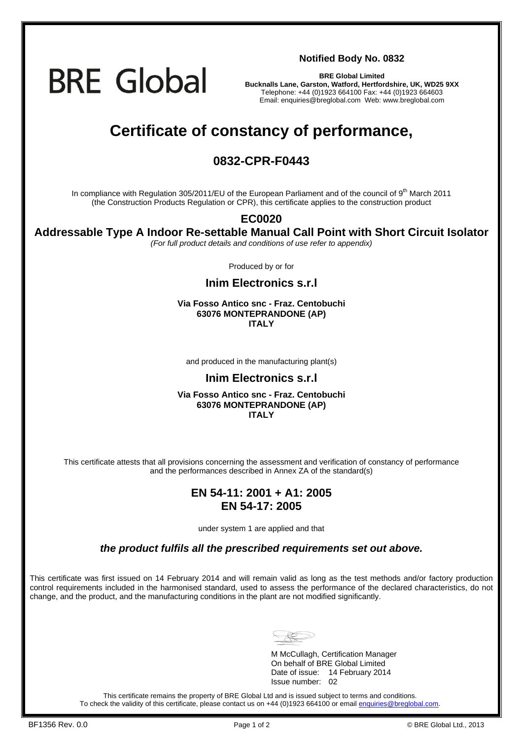**BRE Global** 

**Notified Body No. 0832**

**BRE Global Limited Bucknalls Lane, Garston, Watford, Hertfordshire, UK, WD25 9XX**  Telephone: +44 (0)1923 664100 Fax: +44 (0)1923 664603 Email: enquiries@breglobal.com Web: www.breglobal.com

# **Certificate of constancy of performance,**

### **0832-CPR-F0443**

In compliance with Regulation 305/2011/EU of the European Parliament and of the council of 9<sup>th</sup> March 2011 (the Construction Products Regulation or CPR), this certificate applies to the construction product

#### **EC0020**

**Addressable Type A Indoor Re-settable Manual Call Point with Short Circuit Isolator**

*(For full product details and conditions of use refer to appendix)* 

Produced by or for

**Inim Electronics s.r.l**

#### **Via Fosso Antico snc - Fraz. Centobuchi 63076 MONTEPRANDONE (AP) ITALY**

and produced in the manufacturing plant(s)

#### **Inim Electronics s.r.l**

#### **Via Fosso Antico snc - Fraz. Centobuchi 63076 MONTEPRANDONE (AP) ITALY**

This certificate attests that all provisions concerning the assessment and verification of constancy of performance and the performances described in Annex ZA of the standard(s)

#### **EN 54-11: 2001 + A1: 2005 EN 54-17: 2005**

under system 1 are applied and that

*the product fulfils all the prescribed requirements set out above.* 

This certificate was first issued on 14 February 2014 and will remain valid as long as the test methods and/or factory production control requirements included in the harmonised standard, used to assess the performance of the declared characteristics, do not change, and the product, and the manufacturing conditions in the plant are not modified significantly.



 M McCullagh, Certification Manager On behalf of BRE Global Limited Date of issue: 14 February 2014 Issue number: 02

This certificate remains the property of BRE Global Ltd and is issued subject to terms and conditions. To check the validity of this certificate, please contact us on +44 (0)1923 664100 or email enquiries@breglobal.com.